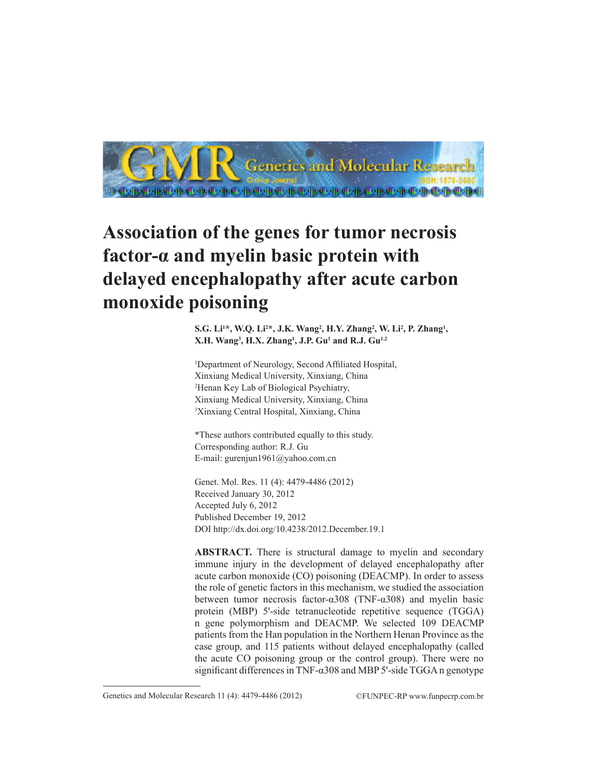

# **Association of the genes for tumor necrosis factor-α and myelin basic protein with delayed encephalopathy after acute carbon monoxide poisoning**

S.G. Li<sup>1</sup>\*, W.Q. Li<sup>2</sup>\*, J.K. Wang<sup>2</sup>, H.Y. Zhang<sup>2</sup>, W. Li<sup>2</sup>, P. Zhang<sup>1</sup>, **X.H. Wang3 , H.X. Zhang1 , J.P. Gu1 and R.J. Gu1,2**

1 Department of Neurology, Second Affiliated Hospital, Xinxiang Medical University, Xinxiang, China 2 Henan Key Lab of Biological Psychiatry, Xinxiang Medical University, Xinxiang, China 3 Xinxiang Central Hospital, Xinxiang, China

\*These authors contributed equally to this study. Corresponding author: R.J. Gu E-mail: gurenjun1961@yahoo.com.cn

Genet. Mol. Res. 11 (4): 4479-4486 (2012) Received January 30, 2012 Accepted July 6, 2012 Published December 19, 2012 DOI http://dx.doi.org/10.4238/2012.December.19.1

**ABSTRACT.** There is structural damage to myelin and secondary immune injury in the development of delayed encephalopathy after acute carbon monoxide (CO) poisoning (DEACMP). In order to assess the role of genetic factors in this mechanism, we studied the association between tumor necrosis factor-α308 (TNF-α308) and myelin basic protein (MBP) 5'-side tetranucleotide repetitive sequence (TGGA) n gene polymorphism and DEACMP. We selected 109 DEACMP patients from the Han population in the Northern Henan Province as the case group, and 115 patients without delayed encephalopathy (called the acute CO poisoning group or the control group). There were no significant differences in TNF- $\alpha$ 308 and MBP 5'-side TGGA n genotype

Genetics and Molecular Research 11 (4): 4479-4486 (2012) ©FUNPEC-RP www.funpecrp.com.br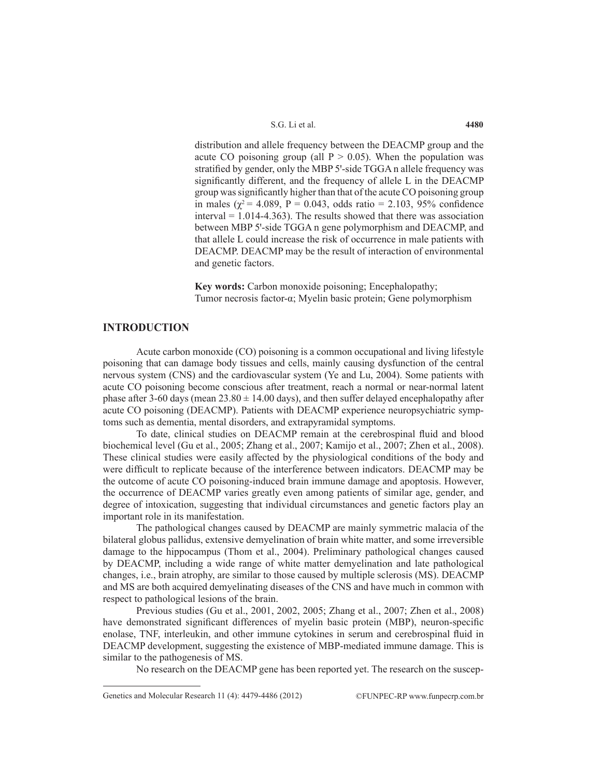distribution and allele frequency between the DEACMP group and the acute CO poisoning group (all  $P > 0.05$ ). When the population was stratified by gender, only the MBP 5'-side TGGA n allele frequency was significantly different, and the frequency of allele L in the DEACMP group was significantly higher than that of the acute CO poisoning group in males ( $\chi^2$  = 4.089, P = 0.043, odds ratio = 2.103, 95% confidence interval = 1.014-4.363). The results showed that there was association between MBP 5'-side TGGA n gene polymorphism and DEACMP, and that allele L could increase the risk of occurrence in male patients with DEACMP. DEACMP may be the result of interaction of environmental and genetic factors.

**Key words:** Carbon monoxide poisoning; Encephalopathy; Tumor necrosis factor-α; Myelin basic protein; Gene polymorphism

# **INTRODUCTION**

Acute carbon monoxide (CO) poisoning is a common occupational and living lifestyle poisoning that can damage body tissues and cells, mainly causing dysfunction of the central nervous system (CNS) and the cardiovascular system (Ye and Lu, 2004). Some patients with acute CO poisoning become conscious after treatment, reach a normal or near-normal latent phase after 3-60 days (mean  $23.80 \pm 14.00$  days), and then suffer delayed encephalopathy after acute CO poisoning (DEACMP). Patients with DEACMP experience neuropsychiatric symptoms such as dementia, mental disorders, and extrapyramidal symptoms.

To date, clinical studies on DEACMP remain at the cerebrospinal fluid and blood biochemical level (Gu et al., 2005; Zhang et al., 2007; Kamijo et al., 2007; Zhen et al., 2008). These clinical studies were easily affected by the physiological conditions of the body and were difficult to replicate because of the interference between indicators. DEACMP may be the outcome of acute CO poisoning-induced brain immune damage and apoptosis. However, the occurrence of DEACMP varies greatly even among patients of similar age, gender, and degree of intoxication, suggesting that individual circumstances and genetic factors play an important role in its manifestation.

The pathological changes caused by DEACMP are mainly symmetric malacia of the bilateral globus pallidus, extensive demyelination of brain white matter, and some irreversible damage to the hippocampus (Thom et al., 2004). Preliminary pathological changes caused by DEACMP, including a wide range of white matter demyelination and late pathological changes, i.e., brain atrophy, are similar to those caused by multiple sclerosis (MS). DEACMP and MS are both acquired demyelinating diseases of the CNS and have much in common with respect to pathological lesions of the brain.

Previous studies (Gu et al., 2001, 2002, 2005; Zhang et al., 2007; Zhen et al., 2008) have demonstrated significant differences of myelin basic protein (MBP), neuron-specific enolase, TNF, interleukin, and other immune cytokines in serum and cerebrospinal fluid in DEACMP development, suggesting the existence of MBP-mediated immune damage. This is similar to the pathogenesis of MS.

No research on the DEACMP gene has been reported yet. The research on the suscep-

Genetics and Molecular Research 11 (4): 4479-4486 (2012) ©FUNPEC-RP www.funpecrp.com.br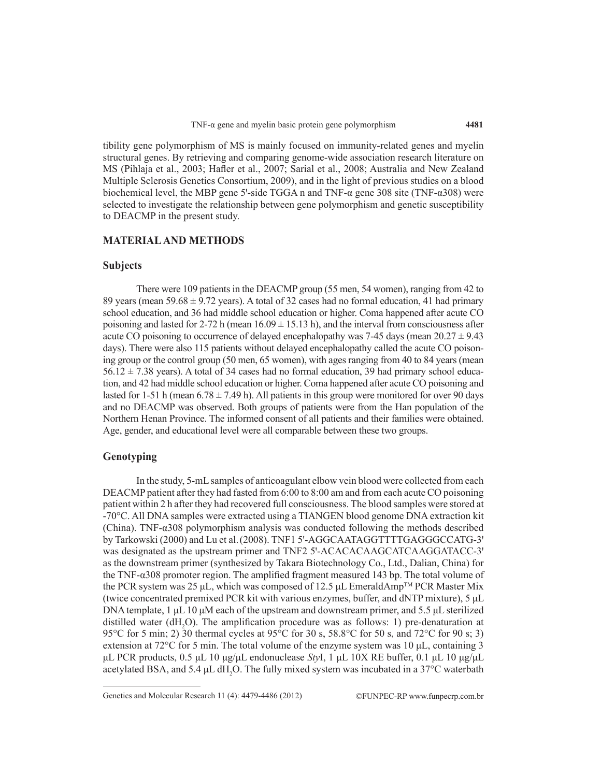tibility gene polymorphism of MS is mainly focused on immunity-related genes and myelin structural genes. By retrieving and comparing genome-wide association research literature on MS (Pihlaja et al., 2003; Hafler et al., 2007; Sarial et al., 2008; Australia and New Zealand Multiple Sclerosis Genetics Consortium, 2009), and in the light of previous studies on a blood biochemical level, the MBP gene 5'-side TGGA n and TNF- $\alpha$  gene 308 site (TNF- $\alpha$ 308) were selected to investigate the relationship between gene polymorphism and genetic susceptibility to DEACMP in the present study.

#### **MATERIAL AND METHODS**

#### **Subjects**

There were 109 patients in the DEACMP group (55 men, 54 women), ranging from 42 to 89 years (mean  $59.68 \pm 9.72$  years). A total of 32 cases had no formal education, 41 had primary school education, and 36 had middle school education or higher. Coma happened after acute CO poisoning and lasted for  $2-72$  h (mean  $16.09 \pm 15.13$  h), and the interval from consciousness after acute CO poisoning to occurrence of delayed encephalopathy was 7-45 days (mean  $20.27 \pm 9.43$ ) days). There were also 115 patients without delayed encephalopathy called the acute CO poisoning group or the control group (50 men, 65 women), with ages ranging from 40 to 84 years (mean  $56.12 \pm 7.38$  years). A total of 34 cases had no formal education, 39 had primary school education, and 42 had middle school education or higher. Coma happened after acute CO poisoning and lasted for 1-51 h (mean  $6.78 \pm 7.49$  h). All patients in this group were monitored for over 90 days and no DEACMP was observed. Both groups of patients were from the Han population of the Northern Henan Province. The informed consent of all patients and their families were obtained. Age, gender, and educational level were all comparable between these two groups.

## **Genotyping**

In the study, 5-mL samples of anticoagulant elbow vein blood were collected from each DEACMP patient after they had fasted from 6:00 to 8:00 am and from each acute CO poisoning patient within 2 h after they had recovered full consciousness. The blood samples were stored at -70°C. All DNA samples were extracted using a TIANGEN blood genome DNA extraction kit (China). TNF- $\alpha$ 308 polymorphism analysis was conducted following the methods described by Tarkowski (2000) and Lu et al. (2008). TNF1 5'-AGGCAATAGGTTTTGAGGGCCATG-3' was designated as the upstream primer and TNF2 5'-ACACACAAGCATCAAGGATACC-3' as the downstream primer (synthesized by Takara Biotechnology Co., Ltd., Dalian, China) for the TNF-α308 promoter region. The amplified fragment measured 143 bp. The total volume of the PCR system was 25 μL, which was composed of 12.5 μL EmeraldAmp<sup>™</sup> PCR Master Mix (twice concentrated premixed PCR kit with various enzymes, buffer, and dNTP mixture), 5 μL DNA template, 1 μL 10 μM each of the upstream and downstream primer, and 5.5 μL sterilized distilled water ( $dH_2O$ ). The amplification procedure was as follows: 1) pre-denaturation at 95°C for 5 min; 2) 30 thermal cycles at 95°C for 30 s, 58.8°C for 50 s, and 72°C for 90 s; 3) extension at 72 $^{\circ}$ C for 5 min. The total volume of the enzyme system was 10  $\mu$ L, containing 3 μL PCR products, 0.5 μL 10 μg/μL endonuclease *Sty*I, 1 μL 10X RE buffer, 0.1 μL 10 μg/μL acetylated BSA, and 5.4  $\mu$ L dH<sub>2</sub>O. The fully mixed system was incubated in a 37°C waterbath

Genetics and Molecular Research 11 (4): 4479-4486 (2012) ©FUNPEC-RP www.funpecrp.com.br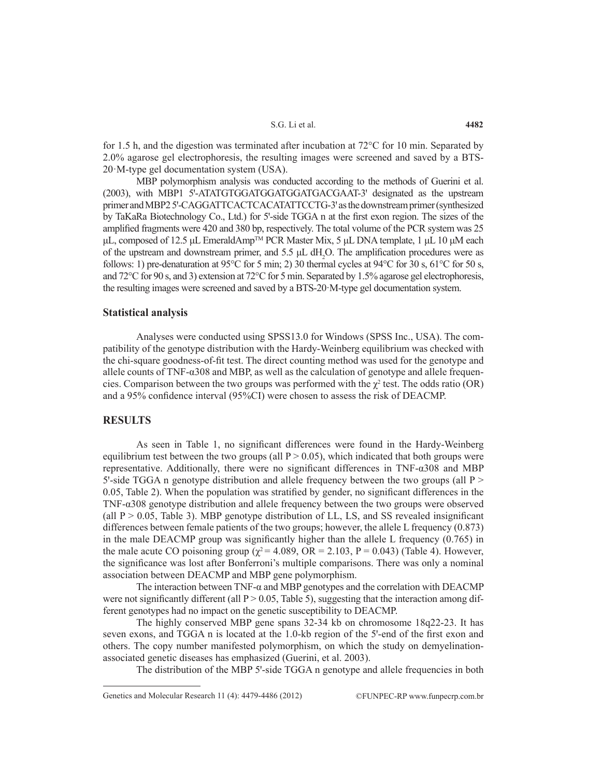#### S.G. Li et al.

for 1.5 h, and the digestion was terminated after incubation at 72°C for 10 min. Separated by 2.0% agarose gel electrophoresis, the resulting images were screened and saved by a BTS-20·M-type gel documentation system (USA).

MBP polymorphism analysis was conducted according to the methods of Guerini et al. (2003), with MBP1 5'-ATATGTGGATGGATGGATGACGAAT-3' designated as the upstream primer and MBP2 5'-CAGGATTCACTCACATATTCCTG-3' as the downstream primer (synthesized by TaKaRa Biotechnology Co., Ltd.) for 5'-side TGGA n at the first exon region. The sizes of the amplified fragments were 420 and 380 bp, respectively. The total volume of the PCR system was 25 μL, composed of 12.5 μL EmeraldAmp<sup>TM</sup> PCR Master Mix, 5 μL DNA template, 1 μL 10 μM each of the upstream and downstream primer, and  $5.5 \mu L$  dH<sub>2</sub>O. The amplification procedures were as follows: 1) pre-denaturation at 95 $^{\circ}$ C for 5 min; 2) 30 thermal cycles at 94 $^{\circ}$ C for 30 s, 61 $^{\circ}$ C for 50 s, and 72°C for 90 s, and 3) extension at 72°C for 5 min. Separated by 1.5% agarose gel electrophoresis, the resulting images were screened and saved by a BTS-20·M-type gel documentation system.

#### **Statistical analysis**

Analyses were conducted using SPSS13.0 for Windows (SPSS Inc., USA). The compatibility of the genotype distribution with the Hardy-Weinberg equilibrium was checked with the chi-square goodness-of-fit test. The direct counting method was used for the genotype and allele counts of TNF- $\alpha$ 308 and MBP, as well as the calculation of genotype and allele frequencies. Comparison between the two groups was performed with the  $\chi^2$  test. The odds ratio (OR) and a 95% confidence interval (95%CI) were chosen to assess the risk of DEACMP.

## **RESULTS**

As seen in Table 1, no significant differences were found in the Hardy-Weinberg equilibrium test between the two groups (all  $P > 0.05$ ), which indicated that both groups were representative. Additionally, there were no significant differences in TNF-α308 and MBP  $5'$ -side TGGA n genotype distribution and allele frequency between the two groups (all P  $>$ 0.05, Table 2). When the population was stratified by gender, no significant differences in the TNF-α308 genotype distribution and allele frequency between the two groups were observed (all  $P > 0.05$ , Table 3). MBP genotype distribution of LL, LS, and SS revealed insignificant differences between female patients of the two groups; however, the allele L frequency (0.873) in the male DEACMP group was significantly higher than the allele L frequency (0.765) in the male acute CO poisoning group ( $\chi^2$  = 4.089, OR = 2.103, P = 0.043) (Table 4). However, the significance was lost after Bonferroni's multiple comparisons. There was only a nominal association between DEACMP and MBP gene polymorphism.

The interaction between TNF- $\alpha$  and MBP genotypes and the correlation with DEACMP were not significantly different (all  $P > 0.05$ , Table 5), suggesting that the interaction among different genotypes had no impact on the genetic susceptibility to DEACMP.

The highly conserved MBP gene spans 32-34 kb on chromosome 18q22-23. It has seven exons, and TGGA n is located at the 1.0-kb region of the 5'-end of the first exon and others. The copy number manifested polymorphism, on which the study on demyelinationassociated genetic diseases has emphasized (Guerini, et al. 2003).

The distribution of the MBP 5'-side TGGA n genotype and allele frequencies in both

Genetics and Molecular Research 11 (4): 4479-4486 (2012) ©FUNPEC-RP www.funpecrp.com.br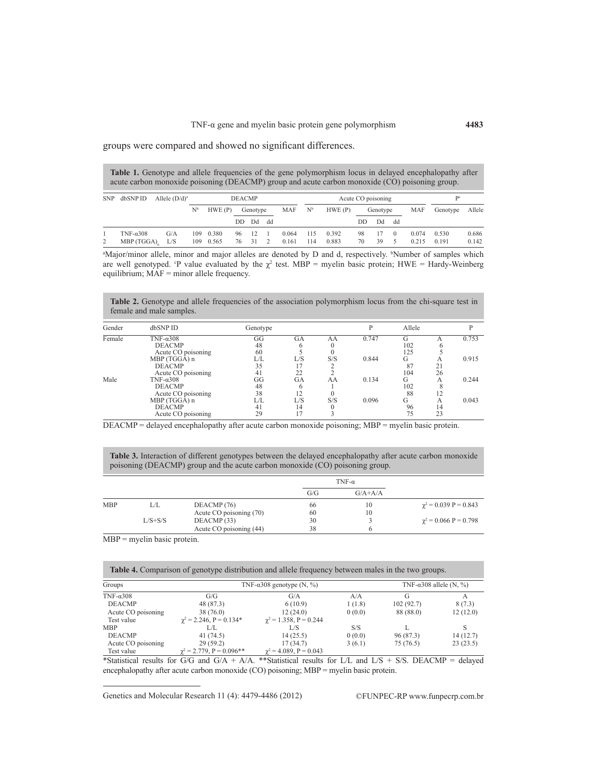groups were compared and showed no significant differences.

| <b>Table 1.</b> Genotype and allele frequencies of the gene polymorphism locus in delayed encephalopathy after |
|----------------------------------------------------------------------------------------------------------------|
| acute carbon monoxide poisoning (DEACMP) group and acute carbon monoxide (CO) poisoning group.                 |

| <b>SNP</b> | dbSNP ID                        | Allele $(D/d)^a$ | <b>DEACMP</b>                                   |                    |          | Acute CO poisoning |        |                |            |                  | Dc       |          |          |                |                |                |
|------------|---------------------------------|------------------|-------------------------------------------------|--------------------|----------|--------------------|--------|----------------|------------|------------------|----------|----------|----------|----------------|----------------|----------------|
|            |                                 |                  | $\mathrm{N}^{\mathrm{b}}$<br>HWE(P)<br>Genotype |                    | MAF      | N <sub>b</sub>     | HWE(P) | Genotype       |            | <b>MAF</b>       | Genotype | Allele   |          |                |                |                |
|            |                                 |                  |                                                 |                    | DD.      | Dd                 | dd     |                |            |                  | DD       | Dd       | dd       |                |                |                |
| 2          | TNF- $\alpha$ 308<br>MBP (TGGA) | G/A<br>L/S       | 109                                             | 0.380<br>109 0.565 | 96<br>76 | -12<br>31          |        | 0.064<br>0.161 | 115<br>114 | 0 3 9 2<br>0.883 | 98<br>70 | 17<br>39 | $\Omega$ | 0.074<br>0.215 | 0.530<br>0.191 | 0.686<br>0.142 |

a Major/minor allele, minor and major alleles are denoted by D and d, respectively. b Number of samples which are well genotyped. <sup>o</sup>P value evaluated by the  $\chi^2$  test. MBP = myelin basic protein; HWE = Hardy-Weinberg equilibrium; MAF = minor allele frequency.

Table 2. Genotype and allele frequencies of the association polymorphism locus from the chi-square test in female and male samples.

| Gender | dbSNP ID                           | Genotype |                |     |       | Allele   |    |       |
|--------|------------------------------------|----------|----------------|-----|-------|----------|----|-------|
| Female | TNF- $\alpha$ 308<br><b>DEACMP</b> | GG<br>48 | GА             | AA  | 0.747 | G<br>102 |    | 0.753 |
|        | Acute CO poisoning                 | 60       |                |     |       | 125      |    |       |
|        | MBP (TGGA) n                       | L/L      | L/S            | S/S | 0.844 | G        | А  | 0.915 |
|        | <b>DEACMP</b>                      | 35       |                |     |       | 87       | 21 |       |
|        | Acute CO poisoning                 | 41       | 22             |     |       | 104      | 26 |       |
| Male   | TNF- $\alpha$ 308                  | GG       | GА             | AA  | 0.134 | G        | А  | 0.244 |
|        | <b>DEACMP</b>                      | 48       |                |     |       | 102      |    |       |
|        | Acute CO poisoning                 | 38       | 12             |     |       | 88       |    |       |
|        | MBP (TGGA) n                       | L/L      | L/S            | S/S | 0.096 | G        | А  | 0.043 |
|        | <b>DEACMP</b>                      | 41       | 14             |     |       | 96       | 14 |       |
|        | Acute CO poisoning                 | 29       | 1 <sub>7</sub> |     |       | 75       | 23 |       |

DEACMP = delayed encephalopathy after acute carbon monoxide poisoning; MBP = myelin basic protein.

**Table 3.** Interaction of different genotypes between the delayed encephalopathy after acute carbon monoxide poisoning (DEACMP) group and the acute carbon monoxide (CO) poisoning group.

|            |             |                         |     | TNF- $\alpha$ |                                      |
|------------|-------------|-------------------------|-----|---------------|--------------------------------------|
|            |             |                         | G/G | $G/A + A/A$   |                                      |
| <b>MBP</b> | L/L         | DEACMP(76)              | 66  | 10            | $\gamma^2 = 0.039 \text{ P} = 0.843$ |
|            |             | Acute CO poisoning (70) | 60  | 10            |                                      |
|            | $L/S + S/S$ | DEACMP(33)              | 30  |               | $\gamma^2 = 0.066 \text{ P} = 0.798$ |
|            |             | Acute CO poisoning (44) | 38  |               |                                      |

MBP = myelin basic protein.

| <b>Table 4.</b> Comparison of genotype distribution and allele frequency between males in the two groups. |                                 |                                   |                                 |           |          |  |  |  |  |
|-----------------------------------------------------------------------------------------------------------|---------------------------------|-----------------------------------|---------------------------------|-----------|----------|--|--|--|--|
| Groups                                                                                                    |                                 | TNF- $\alpha$ 308 genotype (N, %) | TNF- $\alpha$ 308 allele (N, %) |           |          |  |  |  |  |
| TNF- $\alpha$ 308                                                                                         | G/G                             | G/A                               | A/A                             | G         | А        |  |  |  |  |
| <b>DEACMP</b>                                                                                             | 48 (87.3)                       | 6(10.9)                           | 1(1.8)                          | 102(92.7) | 8(7.3)   |  |  |  |  |
| Acute CO poisoning                                                                                        | 38 (76.0)                       | 12(24.0)                          | 0(0.0)                          | 88 (88.0) | 12(12.0) |  |  |  |  |
| Test value                                                                                                | $\gamma^2$ = 2.246, P = 0.134*  | $\gamma^2 = 1.358$ , P = 0.244    |                                 |           |          |  |  |  |  |
| <b>MBP</b>                                                                                                | LЛ.                             | L/S                               | S/S                             |           |          |  |  |  |  |
| <b>DEACMP</b>                                                                                             | 41 (74.5)                       | 14(25.5)                          | 0(0.0)                          | 96 (87.3) | 14(12.7) |  |  |  |  |
| Acute CO poisoning                                                                                        | 29(59.2)                        | 17 (34.7)                         | 3(6.1)                          | 75 (76.5) | 23(23.5) |  |  |  |  |
| Test value                                                                                                | $\gamma^2$ = 2.779, P = 0.096** | $\gamma^2 = 4.089$ , $P = 0.043$  |                                 |           |          |  |  |  |  |

\*Statistical results for  $G/G$  and  $G/A + A/A$ . \*\*Statistical results for L/L and L/S + S/S. DEACMP = delayed encephalopathy after acute carbon monoxide (CO) poisoning; MBP = myelin basic protein.

Genetics and Molecular Research 11 (4): 4479-4486 (2012) ©FUNPEC-RP www.funpecrp.com.br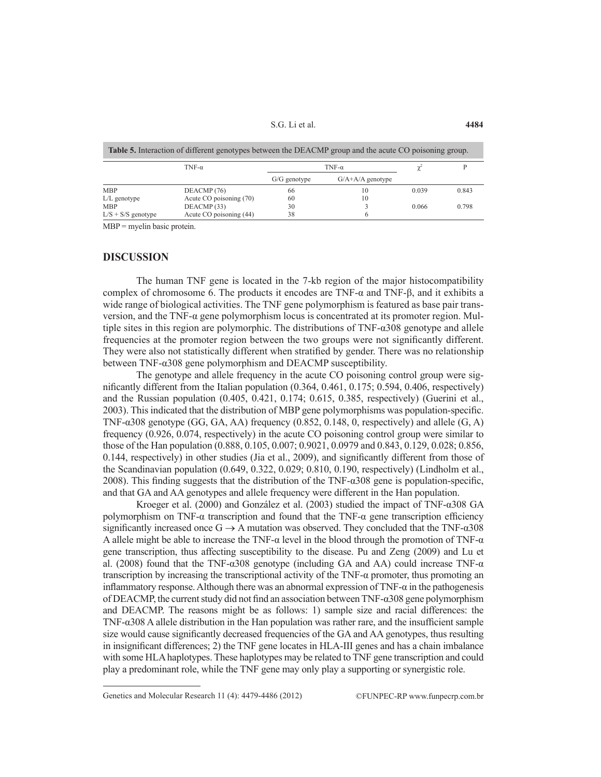S.G. Li et al.

| <b>Table 5.</b> Interaction of different genotypes between the DEACMP group and the acute CO poisoning group. |                         |                |                      |       |       |  |  |  |  |
|---------------------------------------------------------------------------------------------------------------|-------------------------|----------------|----------------------|-------|-------|--|--|--|--|
|                                                                                                               | TNF- $\alpha$           |                |                      |       |       |  |  |  |  |
|                                                                                                               |                         | $G/G$ genotype | $G/A + A/A$ genotype |       |       |  |  |  |  |
| <b>MBP</b>                                                                                                    | DEACMP <sub>(76)</sub>  | 66             | 10                   | 0.039 | 0.843 |  |  |  |  |
| $L/L$ genotype                                                                                                | Acute CO poisoning (70) | 60             | 10                   |       |       |  |  |  |  |
| <b>MBP</b>                                                                                                    | DEACMP (33)             | 30             |                      | 0.066 | 0.798 |  |  |  |  |
| $L/S + S/S$ genotype                                                                                          | Acute CO poisoning (44) | 38             |                      |       |       |  |  |  |  |

MBP = myelin basic protein.

#### **DISCUSSION**

The human TNF gene is located in the 7-kb region of the major histocompatibility complex of chromosome 6. The products it encodes are TNF- $\alpha$  and TNF- $\beta$ , and it exhibits a wide range of biological activities. The TNF gene polymorphism is featured as base pair transversion, and the TNF-α gene polymorphism locus is concentrated at its promoter region. Multiple sites in this region are polymorphic. The distributions of TNF-α308 genotype and allele frequencies at the promoter region between the two groups were not significantly different. They were also not statistically different when stratified by gender. There was no relationship between TNF-α308 gene polymorphism and DEACMP susceptibility.

The genotype and allele frequency in the acute CO poisoning control group were significantly different from the Italian population (0.364, 0.461, 0.175; 0.594, 0.406, respectively) and the Russian population (0.405, 0.421, 0.174; 0.615, 0.385, respectively) (Guerini et al., 2003). This indicated that the distribution of MBP gene polymorphisms was population-specific. TNF- $\alpha$ 308 genotype (GG, GA, AA) frequency (0.852, 0.148, 0, respectively) and allele (G, A) frequency (0.926, 0.074, respectively) in the acute CO poisoning control group were similar to those of the Han population (0.888, 0.105, 0.007; 0.9021, 0.0979 and 0.843, 0.129, 0.028; 0.856, 0.144, respectively) in other studies (Jia et al., 2009), and significantly different from those of the Scandinavian population (0.649, 0.322, 0.029; 0.810, 0.190, respectively) (Lindholm et al., 2008). This finding suggests that the distribution of the TNF-α308 gene is population-specific, and that GA and AA genotypes and allele frequency were different in the Han population.

Kroeger et al. (2000) and González et al. (2003) studied the impact of TNF-α308 GA polymorphism on TNF- $\alpha$  transcription and found that the TNF- $\alpha$  gene transcription efficiency significantly increased once  $G \rightarrow A$  mutation was observed. They concluded that the TNF- $\alpha$ 308 A allele might be able to increase the TNF-α level in the blood through the promotion of TNF-α gene transcription, thus affecting susceptibility to the disease. Pu and Zeng (2009) and Lu et al. (2008) found that the TNF-α308 genotype (including GA and AA) could increase TNF-α transcription by increasing the transcriptional activity of the TNF-α promoter, thus promoting an inflammatory response. Although there was an abnormal expression of TNF-α in the pathogenesis of DEACMP, the current study did not find an association between TNF-α308 gene polymorphism and DEACMP. The reasons might be as follows: 1) sample size and racial differences: the TNF-α308 A allele distribution in the Han population was rather rare, and the insufficient sample size would cause significantly decreased frequencies of the GA and AA genotypes, thus resulting in insignificant differences; 2) the TNF gene locates in HLA-III genes and has a chain imbalance with some HLA haplotypes. These haplotypes may be related to TNF gene transcription and could play a predominant role, while the TNF gene may only play a supporting or synergistic role.

Genetics and Molecular Research 11 (4): 4479-4486 (2012) ©FUNPEC-RP www.funpecrp.com.br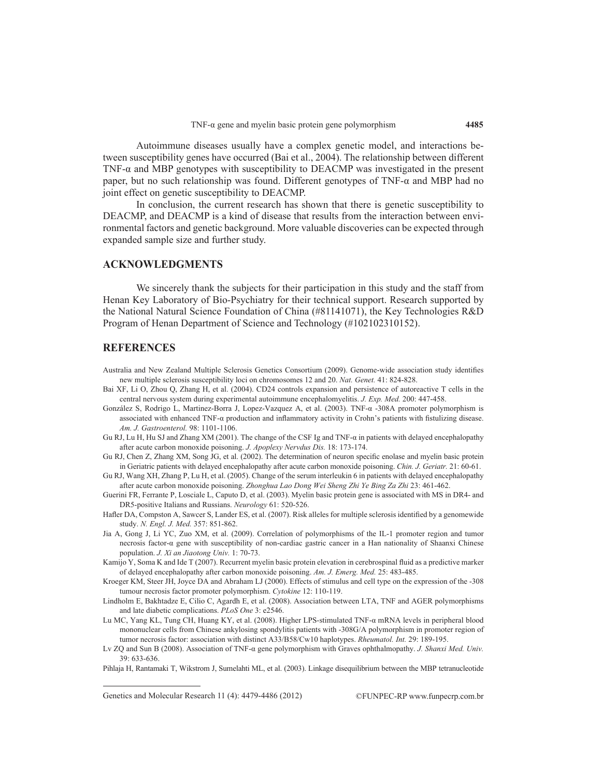Autoimmune diseases usually have a complex genetic model, and interactions between susceptibility genes have occurred (Bai et al., 2004). The relationship between different TNF-α and MBP genotypes with susceptibility to DEACMP was investigated in the present paper, but no such relationship was found. Different genotypes of  $TNF-\alpha$  and MBP had no joint effect on genetic susceptibility to DEACMP.

In conclusion, the current research has shown that there is genetic susceptibility to DEACMP, and DEACMP is a kind of disease that results from the interaction between environmental factors and genetic background. More valuable discoveries can be expected through expanded sample size and further study.

## **ACKNOWLEDGMENTS**

We sincerely thank the subjects for their participation in this study and the staff from Henan Key Laboratory of Bio-Psychiatry for their technical support. Research supported by the National Natural Science Foundation of China (#81141071), the Key Technologies R&D Program of Henan Department of Science and Technology (#102102310152).

## **REFERENCES**

- Australia and New Zealand Multiple Sclerosis Genetics Consortium (2009). Genome-wide association study identifies new multiple sclerosis susceptibility loci on chromosomes 12 and 20. *Nat. Genet.* 41: 824-828.
- Bai XF, Li O, Zhou Q, Zhang H, et al. (2004). CD24 controls expansion and persistence of autoreactive T cells in the central nervous system during experimental autoimmune encephalomyelitis. *J. Exp. Med.* 200: 447-458.
- González S, Rodrigo L, Martinez-Borra J, Lopez-Vazquez A, et al. (2003). TNF-α -308A promoter polymorphism is associated with enhanced TNF-α production and inflammatory activity in Crohn's patients with fistulizing disease. *Am. J. Gastroenterol.* 98: 1101-1106.
- Gu RJ, Lu H, Hu SJ and Zhang XM (2001). The change of the CSF Ig and TNF-α in patients with delayed encephalopathy after acute carbon monoxide poisoning. *J. Apoplexy Nervdus Dis.* 18: 173-174.
- Gu RJ, Chen Z, Zhang XM, Song JG, et al. (2002). The determination of neuron specific enolase and myelin basic protein in Geriatric patients with delayed encephalopathy after acute carbon monoxide poisoning. *Chin. J. Geriatr.* 21: 60-61.
- Gu RJ, Wang XH, Zhang P, Lu H, et al. (2005). Change of the serum interleukin 6 in patients with delayed encephalopathy after acute carbon monoxide poisoning. *Zhonghua Lao Dong Wei Sheng Zhi Ye Bing Za Zhi* 23: 461-462.
- Guerini FR, Ferrante P, Losciale L, Caputo D, et al. (2003). Myelin basic protein gene is associated with MS in DR4- and DR5-positive Italians and Russians. *Neurology* 61: 520-526.
- Hafler DA, Compston A, Sawcer S, Lander ES, et al. (2007). Risk alleles for multiple sclerosis identified by a genomewide study. *N. Engl. J. Med.* 357: 851-862.
- Jia A, Gong J, Li YC, Zuo XM, et al. (2009). Correlation of polymorphisms of the IL-1 promoter region and tumor necrosis factor-α gene with susceptibility of non-cardiac gastric cancer in a Han nationality of Shaanxi Chinese population. *J. Xi an Jiaotong Univ.* 1: 70-73.
- Kamijo Y, Soma K and Ide T (2007). Recurrent myelin basic protein elevation in cerebrospinal fluid as a predictive marker of delayed encephalopathy after carbon monoxide poisoning. *Am. J. Emerg. Med.* 25: 483-485.
- Kroeger KM, Steer JH, Joyce DA and Abraham LJ (2000). Effects of stimulus and cell type on the expression of the -308 tumour necrosis factor promoter polymorphism. *Cytokine* 12: 110-119.
- Lindholm E, Bakhtadze E, Cilio C, Agardh E, et al. (2008). Association between LTA, TNF and AGER polymorphisms and late diabetic complications. *PLoS One* 3: e2546.
- Lu MC, Yang KL, Tung CH, Huang KY, et al. (2008). Higher LPS-stimulated TNF-α mRNA levels in peripheral blood mononuclear cells from Chinese ankylosing spondylitis patients with -308G/A polymorphism in promoter region of tumor necrosis factor: association with distinct A33/B58/Cw10 haplotypes. *Rheumatol. Int.* 29: 189-195.
- Lv ZQ and Sun B (2008). Association of TNF-α gene polymorphism with Graves ophthalmopathy. *J. Shanxi Med. Univ.* 39: 633-636.

Pihlaja H, Rantamaki T, Wikstrom J, Sumelahti ML, et al. (2003). Linkage disequilibrium between the MBP tetranucleotide

Genetics and Molecular Research 11 (4): 4479-4486 (2012) ©FUNPEC-RP www.funpecrp.com.br